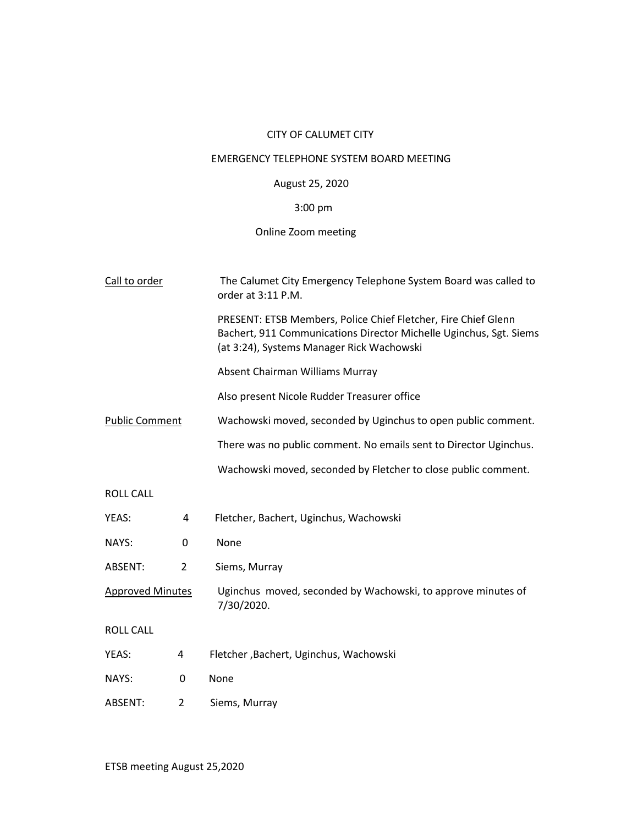## CITY OF CALUMET CITY

### EMERGENCY TELEPHONE SYSTEM BOARD MEETING

## August 25, 2020

# 3:00 pm

# Online Zoom meeting

| Call to order           |   | The Calumet City Emergency Telephone System Board was called to<br>order at 3:11 P.M.                                                                                             |  |
|-------------------------|---|-----------------------------------------------------------------------------------------------------------------------------------------------------------------------------------|--|
|                         |   | PRESENT: ETSB Members, Police Chief Fletcher, Fire Chief Glenn<br>Bachert, 911 Communications Director Michelle Uginchus, Sgt. Siems<br>(at 3:24), Systems Manager Rick Wachowski |  |
|                         |   | Absent Chairman Williams Murray                                                                                                                                                   |  |
|                         |   | Also present Nicole Rudder Treasurer office                                                                                                                                       |  |
| <b>Public Comment</b>   |   | Wachowski moved, seconded by Uginchus to open public comment.                                                                                                                     |  |
|                         |   | There was no public comment. No emails sent to Director Uginchus.                                                                                                                 |  |
|                         |   | Wachowski moved, seconded by Fletcher to close public comment.                                                                                                                    |  |
| <b>ROLL CALL</b>        |   |                                                                                                                                                                                   |  |
| YEAS:                   | 4 | Fletcher, Bachert, Uginchus, Wachowski                                                                                                                                            |  |
| NAYS:                   | 0 | None                                                                                                                                                                              |  |
| ABSENT:                 | 2 | Siems, Murray                                                                                                                                                                     |  |
| <b>Approved Minutes</b> |   | Uginchus moved, seconded by Wachowski, to approve minutes of<br>7/30/2020.                                                                                                        |  |
| <b>ROLL CALL</b>        |   |                                                                                                                                                                                   |  |
| YEAS:                   | 4 | Fletcher, Bachert, Uginchus, Wachowski                                                                                                                                            |  |
| NAYS:                   | 0 | None                                                                                                                                                                              |  |
| ABSENT:                 | 2 | Siems, Murray                                                                                                                                                                     |  |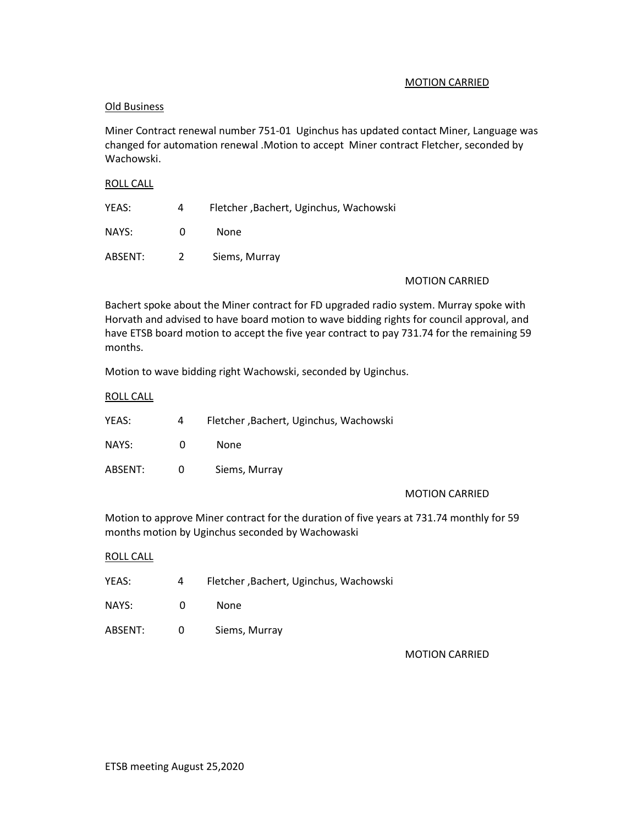#### MOTION CARRIED

#### Old Business

Miner Contract renewal number 751-01 Uginchus has updated contact Miner, Language was changed for automation renewal .Motion to accept Miner contract Fletcher, seconded by Wachowski.

#### ROLL CALL

| YEAS:   | 4             | Fletcher, Bachert, Uginchus, Wachowski |
|---------|---------------|----------------------------------------|
| NAYS:   | 0             | None                                   |
| ABSENT: | $\mathcal{P}$ | Siems, Murray                          |

#### MOTION CARRIED

Bachert spoke about the Miner contract for FD upgraded radio system. Murray spoke with Horvath and advised to have board motion to wave bidding rights for council approval, and have ETSB board motion to accept the five year contract to pay 731.74 for the remaining 59 months.

Motion to wave bidding right Wachowski, seconded by Uginchus.

#### ROLL CALL

| YEAS:   | 4        | Fletcher, Bachert, Uginchus, Wachowski |
|---------|----------|----------------------------------------|
| NAYS:   | $\Omega$ | None                                   |
| ABSENT: | 0        | Siems, Murray                          |

#### MOTION CARRIED

Motion to approve Miner contract for the duration of five years at 731.74 monthly for 59 months motion by Uginchus seconded by Wachowaski

#### ROLL CALL

| YEAS:   | 4            | Fletcher, Bachert, Uginchus, Wachowski |
|---------|--------------|----------------------------------------|
| NAYS:   | O            | None                                   |
| ABSENT: | <sup>0</sup> | Siems, Murray                          |

MOTION CARRIED